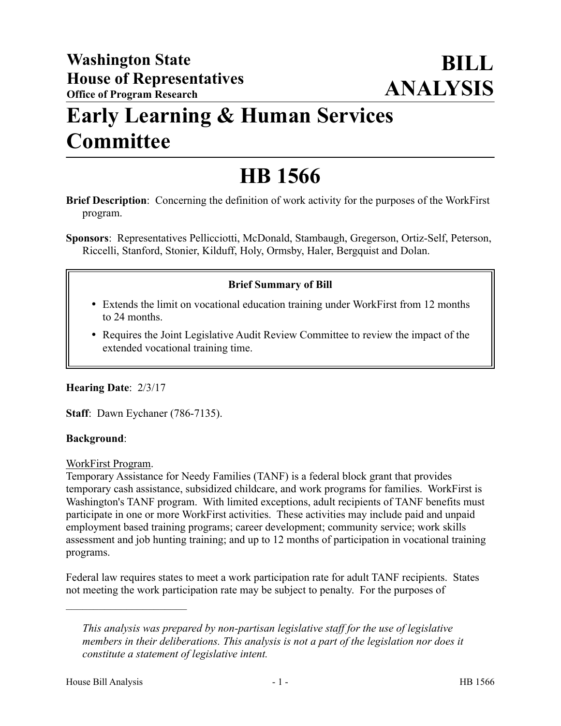# **Early Learning & Human Services Committee**

# **HB 1566**

**Brief Description**: Concerning the definition of work activity for the purposes of the WorkFirst program.

**Sponsors**: Representatives Pellicciotti, McDonald, Stambaugh, Gregerson, Ortiz-Self, Peterson, Riccelli, Stanford, Stonier, Kilduff, Holy, Ormsby, Haler, Bergquist and Dolan.

# **Brief Summary of Bill**

- Extends the limit on vocational education training under WorkFirst from 12 months to 24 months.
- Requires the Joint Legislative Audit Review Committee to review the impact of the extended vocational training time.

# **Hearing Date**: 2/3/17

**Staff**: Dawn Eychaner (786-7135).

### **Background**:

WorkFirst Program.

Temporary Assistance for Needy Families (TANF) is a federal block grant that provides temporary cash assistance, subsidized childcare, and work programs for families. WorkFirst is Washington's TANF program. With limited exceptions, adult recipients of TANF benefits must participate in one or more WorkFirst activities. These activities may include paid and unpaid employment based training programs; career development; community service; work skills assessment and job hunting training; and up to 12 months of participation in vocational training programs.

Federal law requires states to meet a work participation rate for adult TANF recipients. States not meeting the work participation rate may be subject to penalty. For the purposes of

––––––––––––––––––––––

*This analysis was prepared by non-partisan legislative staff for the use of legislative members in their deliberations. This analysis is not a part of the legislation nor does it constitute a statement of legislative intent.*